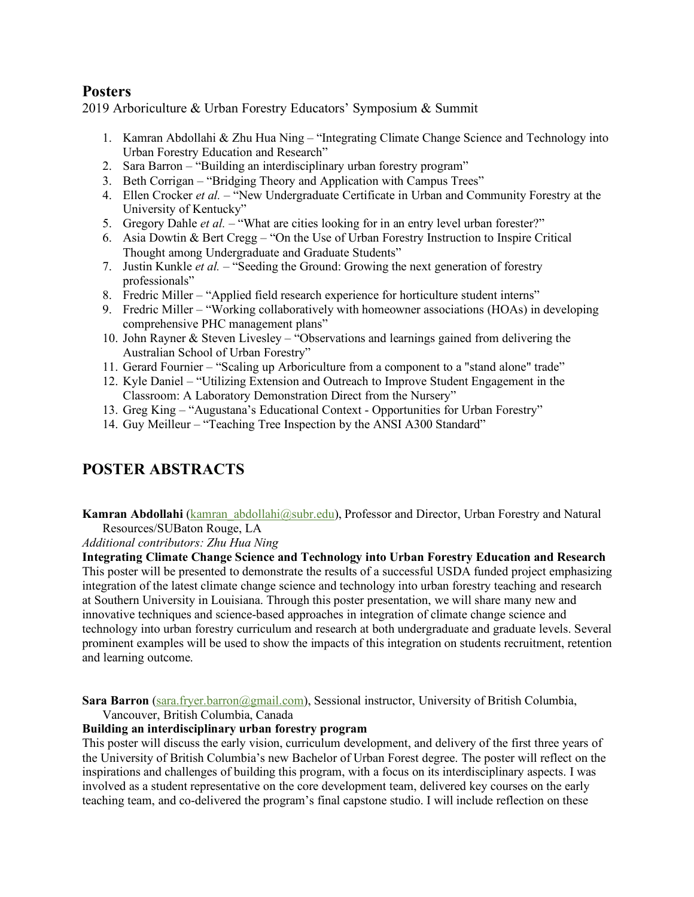## **Posters**

2019 Arboriculture & Urban Forestry Educators' Symposium & Summit

- 1. Kamran Abdollahi & Zhu Hua Ning "Integrating Climate Change Science and Technology into Urban Forestry Education and Research"
- 2. Sara Barron "Building an interdisciplinary urban forestry program"
- 3. Beth Corrigan "Bridging Theory and Application with Campus Trees"
- 4. Ellen Crocker *et al.* "New Undergraduate Certificate in Urban and Community Forestry at the University of Kentucky"
- 5. Gregory Dahle *et al.* "What are cities looking for in an entry level urban forester?"
- 6. Asia Dowtin & Bert Cregg "On the Use of Urban Forestry Instruction to Inspire Critical Thought among Undergraduate and Graduate Students"
- 7. Justin Kunkle *et al.* "Seeding the Ground: Growing the next generation of forestry professionals"
- 8. Fredric Miller "Applied field research experience for horticulture student interns"
- 9. Fredric Miller "Working collaboratively with homeowner associations (HOAs) in developing comprehensive PHC management plans"
- 10. John Rayner & Steven Livesley "Observations and learnings gained from delivering the Australian School of Urban Forestry"
- 11. Gerard Fournier "Scaling up Arboriculture from a component to a "stand alone" trade"
- 12. Kyle Daniel "Utilizing Extension and Outreach to Improve Student Engagement in the Classroom: A Laboratory Demonstration Direct from the Nursery"
- 13. Greg King "Augustana's Educational Context Opportunities for Urban Forestry"
- 14. Guy Meilleur "Teaching Tree Inspection by the ANSI A300 Standard"

## **POSTER ABSTRACTS**

**Kamran Abdollahi** (kamran abdollahi@subr.edu), Professor and Director, Urban Forestry and Natural Resources/SUBaton Rouge, LA

*Additional contributors: Zhu Hua Ning*

**Integrating Climate Change Science and Technology into Urban Forestry Education and Research**  This poster will be presented to demonstrate the results of a successful USDA funded project emphasizing integration of the latest climate change science and technology into urban forestry teaching and research at Southern University in Louisiana. Through this poster presentation, we will share many new and innovative techniques and science-based approaches in integration of climate change science and technology into urban forestry curriculum and research at both undergraduate and graduate levels. Several prominent examples will be used to show the impacts of this integration on students recruitment, retention and learning outcome.

**Sara Barron** (sara.fryer.barron@gmail.com), Sessional instructor, University of British Columbia, Vancouver, British Columbia, Canada

## **Building an interdisciplinary urban forestry program**

This poster will discuss the early vision, curriculum development, and delivery of the first three years of the University of British Columbia's new Bachelor of Urban Forest degree. The poster will reflect on the inspirations and challenges of building this program, with a focus on its interdisciplinary aspects. I was involved as a student representative on the core development team, delivered key courses on the early teaching team, and co-delivered the program's final capstone studio. I will include reflection on these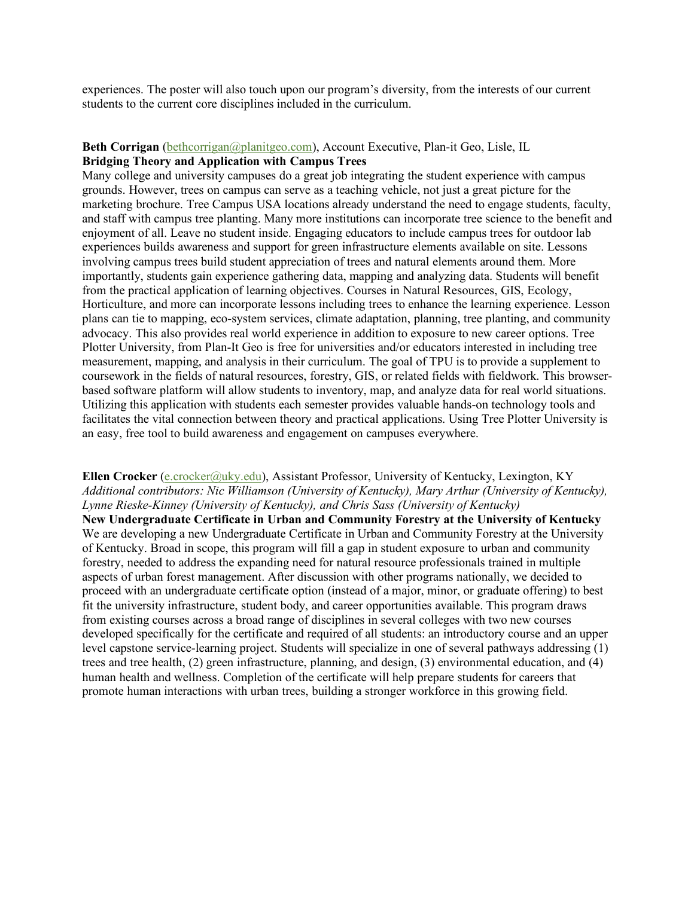experiences. The poster will also touch upon our program's diversity, from the interests of our current students to the current core disciplines included in the curriculum.

# **Beth Corrigan** (bethcorrigan@planitgeo.com), Account Executive, Plan-it Geo, Lisle, IL

## **Bridging Theory and Application with Campus Trees**

Many college and university campuses do a great job integrating the student experience with campus grounds. However, trees on campus can serve as a teaching vehicle, not just a great picture for the marketing brochure. Tree Campus USA locations already understand the need to engage students, faculty, and staff with campus tree planting. Many more institutions can incorporate tree science to the benefit and enjoyment of all. Leave no student inside. Engaging educators to include campus trees for outdoor lab experiences builds awareness and support for green infrastructure elements available on site. Lessons involving campus trees build student appreciation of trees and natural elements around them. More importantly, students gain experience gathering data, mapping and analyzing data. Students will benefit from the practical application of learning objectives. Courses in Natural Resources, GIS, Ecology, Horticulture, and more can incorporate lessons including trees to enhance the learning experience. Lesson plans can tie to mapping, eco-system services, climate adaptation, planning, tree planting, and community advocacy. This also provides real world experience in addition to exposure to new career options. Tree Plotter University, from Plan-It Geo is free for universities and/or educators interested in including tree measurement, mapping, and analysis in their curriculum. The goal of TPU is to provide a supplement to coursework in the fields of natural resources, forestry, GIS, or related fields with fieldwork. This browserbased software platform will allow students to inventory, map, and analyze data for real world situations. Utilizing this application with students each semester provides valuable hands-on technology tools and facilitates the vital connection between theory and practical applications. Using Tree Plotter University is an easy, free tool to build awareness and engagement on campuses everywhere.

#### **Ellen Crocker** (e.crocker@uky.edu), Assistant Professor, University of Kentucky, Lexington, KY *Additional contributors: Nic Williamson (University of Kentucky), Mary Arthur (University of Kentucky), Lynne Rieske-Kinney (University of Kentucky), and Chris Sass (University of Kentucky)*

**New Undergraduate Certificate in Urban and Community Forestry at the University of Kentucky** We are developing a new Undergraduate Certificate in Urban and Community Forestry at the University of Kentucky. Broad in scope, this program will fill a gap in student exposure to urban and community forestry, needed to address the expanding need for natural resource professionals trained in multiple aspects of urban forest management. After discussion with other programs nationally, we decided to proceed with an undergraduate certificate option (instead of a major, minor, or graduate offering) to best fit the university infrastructure, student body, and career opportunities available. This program draws from existing courses across a broad range of disciplines in several colleges with two new courses developed specifically for the certificate and required of all students: an introductory course and an upper level capstone service-learning project. Students will specialize in one of several pathways addressing (1) trees and tree health, (2) green infrastructure, planning, and design, (3) environmental education, and (4) human health and wellness. Completion of the certificate will help prepare students for careers that promote human interactions with urban trees, building a stronger workforce in this growing field.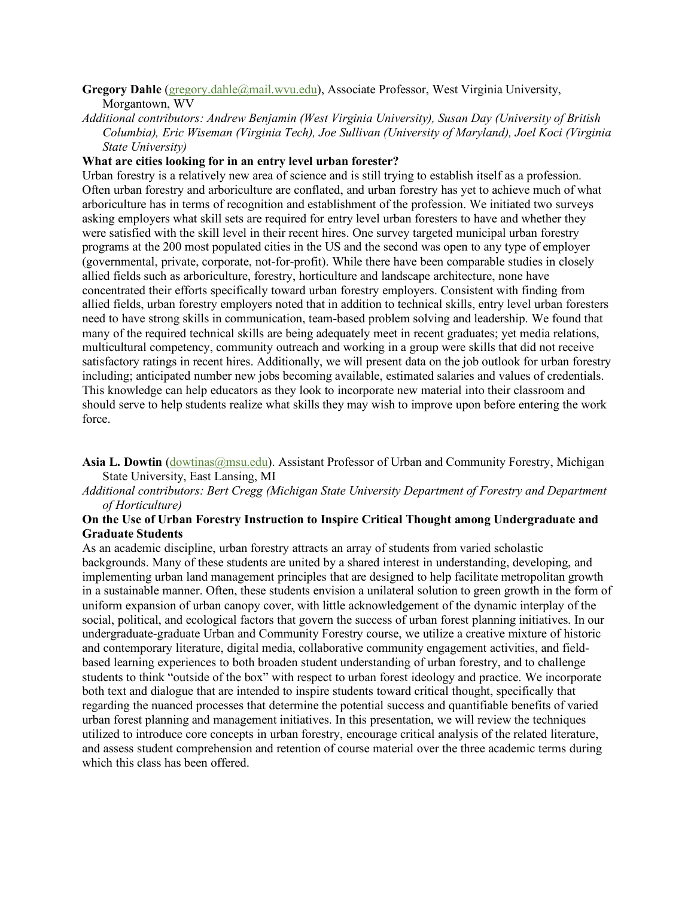#### **Gregory Dahle** (gregory.dahle@mail.wvu.edu), Associate Professor, West Virginia University, Morgantown, WV

*Additional contributors: Andrew Benjamin (West Virginia University), Susan Day (University of British Columbia), Eric Wiseman (Virginia Tech), Joe Sullivan (University of Maryland), Joel Koci (Virginia State University)*

#### **What are cities looking for in an entry level urban forester?**

Urban forestry is a relatively new area of science and is still trying to establish itself as a profession. Often urban forestry and arboriculture are conflated, and urban forestry has yet to achieve much of what arboriculture has in terms of recognition and establishment of the profession. We initiated two surveys asking employers what skill sets are required for entry level urban foresters to have and whether they were satisfied with the skill level in their recent hires. One survey targeted municipal urban forestry programs at the 200 most populated cities in the US and the second was open to any type of employer (governmental, private, corporate, not-for-profit). While there have been comparable studies in closely allied fields such as arboriculture, forestry, horticulture and landscape architecture, none have concentrated their efforts specifically toward urban forestry employers. Consistent with finding from allied fields, urban forestry employers noted that in addition to technical skills, entry level urban foresters need to have strong skills in communication, team-based problem solving and leadership. We found that many of the required technical skills are being adequately meet in recent graduates; yet media relations, multicultural competency, community outreach and working in a group were skills that did not receive satisfactory ratings in recent hires. Additionally, we will present data on the job outlook for urban forestry including; anticipated number new jobs becoming available, estimated salaries and values of credentials. This knowledge can help educators as they look to incorporate new material into their classroom and should serve to help students realize what skills they may wish to improve upon before entering the work force.

Asia L. Dowtin *(dowtinas@msu.edu).* Assistant Professor of Urban and Community Forestry, Michigan State University, East Lansing, MI

#### *Additional contributors: Bert Cregg (Michigan State University Department of Forestry and Department of Horticulture)*

#### **On the Use of Urban Forestry Instruction to Inspire Critical Thought among Undergraduate and Graduate Students**

As an academic discipline, urban forestry attracts an array of students from varied scholastic backgrounds. Many of these students are united by a shared interest in understanding, developing, and implementing urban land management principles that are designed to help facilitate metropolitan growth in a sustainable manner. Often, these students envision a unilateral solution to green growth in the form of uniform expansion of urban canopy cover, with little acknowledgement of the dynamic interplay of the social, political, and ecological factors that govern the success of urban forest planning initiatives. In our undergraduate-graduate Urban and Community Forestry course, we utilize a creative mixture of historic and contemporary literature, digital media, collaborative community engagement activities, and fieldbased learning experiences to both broaden student understanding of urban forestry, and to challenge students to think "outside of the box" with respect to urban forest ideology and practice. We incorporate both text and dialogue that are intended to inspire students toward critical thought, specifically that regarding the nuanced processes that determine the potential success and quantifiable benefits of varied urban forest planning and management initiatives. In this presentation, we will review the techniques utilized to introduce core concepts in urban forestry, encourage critical analysis of the related literature, and assess student comprehension and retention of course material over the three academic terms during which this class has been offered.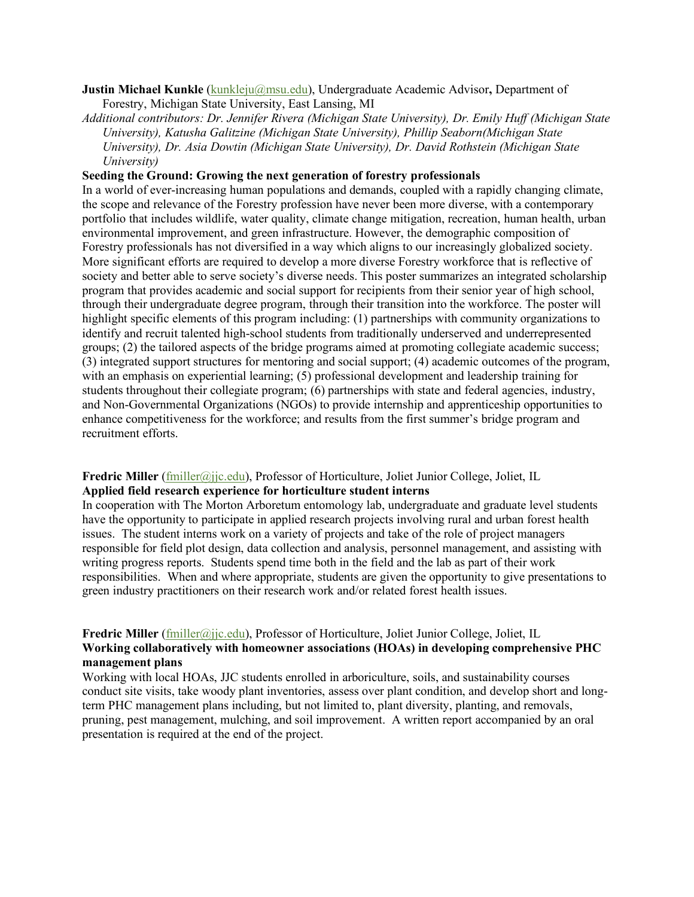#### **Justin Michael Kunkle** (kunkleju@msu.edu), Undergraduate Academic Advisor**,** Department of Forestry, Michigan State University, East Lansing, MI

*Additional contributors: Dr. Jennifer Rivera (Michigan State University), Dr. Emily Huff (Michigan State University), Katusha Galitzine (Michigan State University), Phillip Seaborn(Michigan State University), Dr. Asia Dowtin (Michigan State University), Dr. David Rothstein (Michigan State University)*

#### **Seeding the Ground: Growing the next generation of forestry professionals**

In a world of ever-increasing human populations and demands, coupled with a rapidly changing climate, the scope and relevance of the Forestry profession have never been more diverse, with a contemporary portfolio that includes wildlife, water quality, climate change mitigation, recreation, human health, urban environmental improvement, and green infrastructure. However, the demographic composition of Forestry professionals has not diversified in a way which aligns to our increasingly globalized society. More significant efforts are required to develop a more diverse Forestry workforce that is reflective of society and better able to serve society's diverse needs. This poster summarizes an integrated scholarship program that provides academic and social support for recipients from their senior year of high school, through their undergraduate degree program, through their transition into the workforce. The poster will highlight specific elements of this program including: (1) partnerships with community organizations to identify and recruit talented high-school students from traditionally underserved and underrepresented groups; (2) the tailored aspects of the bridge programs aimed at promoting collegiate academic success; (3) integrated support structures for mentoring and social support; (4) academic outcomes of the program, with an emphasis on experiential learning; (5) professional development and leadership training for students throughout their collegiate program; (6) partnerships with state and federal agencies, industry, and Non-Governmental Organizations (NGOs) to provide internship and apprenticeship opportunities to enhance competitiveness for the workforce; and results from the first summer's bridge program and recruitment efforts.

#### **Fredric Miller** (fmiller@jjc.edu), Professor of Horticulture, Joliet Junior College, Joliet, IL **Applied field research experience for horticulture student interns**

In cooperation with The Morton Arboretum entomology lab, undergraduate and graduate level students have the opportunity to participate in applied research projects involving rural and urban forest health issues. The student interns work on a variety of projects and take of the role of project managers responsible for field plot design, data collection and analysis, personnel management, and assisting with writing progress reports. Students spend time both in the field and the lab as part of their work responsibilities. When and where appropriate, students are given the opportunity to give presentations to green industry practitioners on their research work and/or related forest health issues.

## **Fredric Miller** (fmiller@jjc.edu), Professor of Horticulture, Joliet Junior College, Joliet, IL **Working collaboratively with homeowner associations (HOAs) in developing comprehensive PHC management plans**

Working with local HOAs, JJC students enrolled in arboriculture, soils, and sustainability courses conduct site visits, take woody plant inventories, assess over plant condition, and develop short and longterm PHC management plans including, but not limited to, plant diversity, planting, and removals, pruning, pest management, mulching, and soil improvement. A written report accompanied by an oral presentation is required at the end of the project.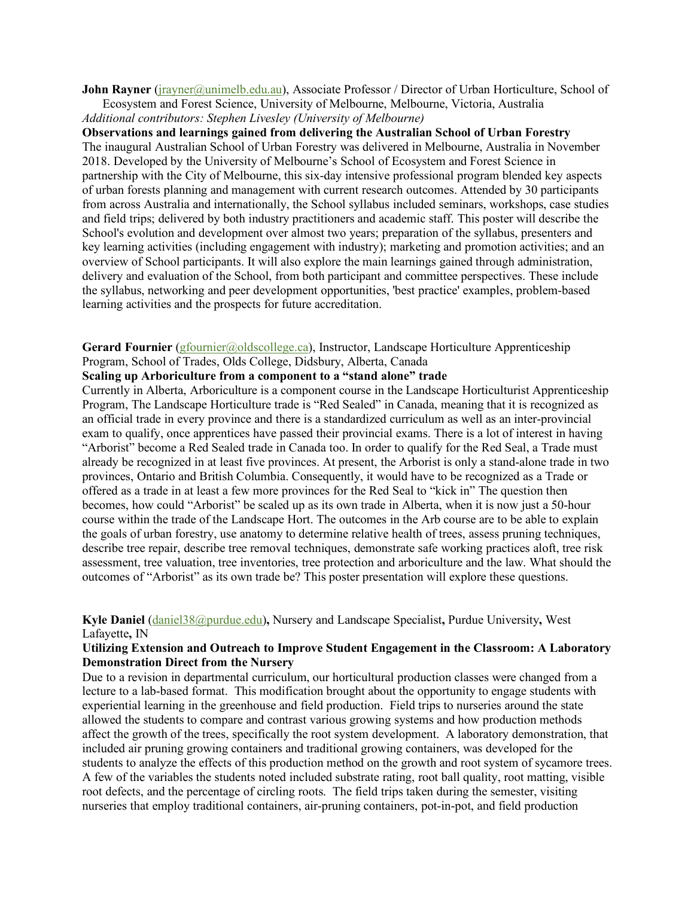**John Rayner** (*jrayner@unimelb.edu.au*), Associate Professor / Director of Urban Horticulture, School of Ecosystem and Forest Science, University of Melbourne, Melbourne, Victoria, Australia *Additional contributors: Stephen Livesley (University of Melbourne)*

**Observations and learnings gained from delivering the Australian School of Urban Forestry** The inaugural Australian School of Urban Forestry was delivered in Melbourne, Australia in November 2018. Developed by the University of Melbourne's School of Ecosystem and Forest Science in partnership with the City of Melbourne, this six-day intensive professional program blended key aspects of urban forests planning and management with current research outcomes. Attended by 30 participants from across Australia and internationally, the School syllabus included seminars, workshops, case studies and field trips; delivered by both industry practitioners and academic staff. This poster will describe the School's evolution and development over almost two years; preparation of the syllabus, presenters and key learning activities (including engagement with industry); marketing and promotion activities; and an overview of School participants. It will also explore the main learnings gained through administration, delivery and evaluation of the School, from both participant and committee perspectives. These include the syllabus, networking and peer development opportunities, 'best practice' examples, problem-based learning activities and the prospects for future accreditation.

Gerard Fournier (gfournier@oldscollege.ca), Instructor, Landscape Horticulture Apprenticeship Program, School of Trades, Olds College, Didsbury, Alberta, Canada

#### **Scaling up Arboriculture from a component to a "stand alone" trade**

Currently in Alberta, Arboriculture is a component course in the Landscape Horticulturist Apprenticeship Program, The Landscape Horticulture trade is "Red Sealed" in Canada, meaning that it is recognized as an official trade in every province and there is a standardized curriculum as well as an inter-provincial exam to qualify, once apprentices have passed their provincial exams. There is a lot of interest in having "Arborist" become a Red Sealed trade in Canada too. In order to qualify for the Red Seal, a Trade must already be recognized in at least five provinces. At present, the Arborist is only a stand-alone trade in two provinces, Ontario and British Columbia. Consequently, it would have to be recognized as a Trade or offered as a trade in at least a few more provinces for the Red Seal to "kick in" The question then becomes, how could "Arborist" be scaled up as its own trade in Alberta, when it is now just a 50-hour course within the trade of the Landscape Hort. The outcomes in the Arb course are to be able to explain the goals of urban forestry, use anatomy to determine relative health of trees, assess pruning techniques, describe tree repair, describe tree removal techniques, demonstrate safe working practices aloft, tree risk assessment, tree valuation, tree inventories, tree protection and arboriculture and the law. What should the outcomes of "Arborist" as its own trade be? This poster presentation will explore these questions.

### **Kyle Daniel** (daniel38@purdue.edu)**,** Nursery and Landscape Specialist**,** Purdue University**,** West Lafayette**,** IN

#### **Utilizing Extension and Outreach to Improve Student Engagement in the Classroom: A Laboratory Demonstration Direct from the Nursery**

Due to a revision in departmental curriculum, our horticultural production classes were changed from a lecture to a lab-based format. This modification brought about the opportunity to engage students with experiential learning in the greenhouse and field production. Field trips to nurseries around the state allowed the students to compare and contrast various growing systems and how production methods affect the growth of the trees, specifically the root system development. A laboratory demonstration, that included air pruning growing containers and traditional growing containers, was developed for the students to analyze the effects of this production method on the growth and root system of sycamore trees. A few of the variables the students noted included substrate rating, root ball quality, root matting, visible root defects, and the percentage of circling roots. The field trips taken during the semester, visiting nurseries that employ traditional containers, air-pruning containers, pot-in-pot, and field production